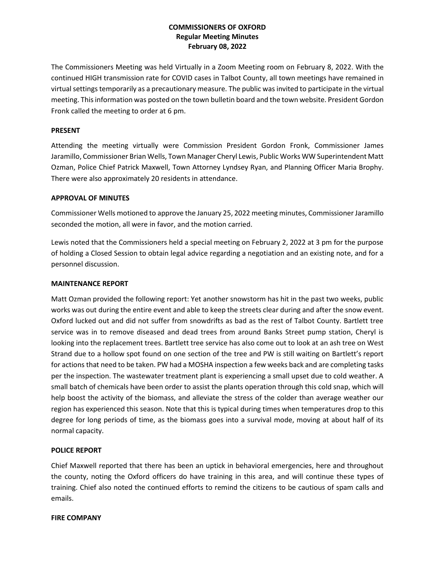# **COMMISSIONERS OF OXFORD Regular Meeting Minutes February 08, 2022**

The Commissioners Meeting was held Virtually in a Zoom Meeting room on February 8, 2022. With the continued HIGH transmission rate for COVID cases in Talbot County, all town meetings have remained in virtual settings temporarily as a precautionary measure. The public was invited to participate in the virtual meeting. This information was posted on the town bulletin board and the town website. President Gordon Fronk called the meeting to order at 6 pm.

## **PRESENT**

Attending the meeting virtually were Commission President Gordon Fronk, Commissioner James Jaramillo, Commissioner Brian Wells, Town Manager Cheryl Lewis, Public Works WW Superintendent Matt Ozman, Police Chief Patrick Maxwell, Town Attorney Lyndsey Ryan, and Planning Officer Maria Brophy. There were also approximately 20 residents in attendance.

## **APPROVAL OF MINUTES**

Commissioner Wells motioned to approve the January 25, 2022 meeting minutes, Commissioner Jaramillo seconded the motion, all were in favor, and the motion carried.

Lewis noted that the Commissioners held a special meeting on February 2, 2022 at 3 pm for the purpose of holding a Closed Session to obtain legal advice regarding a negotiation and an existing note, and for a personnel discussion.

## **MAINTENANCE REPORT**

Matt Ozman provided the following report: Yet another snowstorm has hit in the past two weeks, public works was out during the entire event and able to keep the streets clear during and after the snow event. Oxford lucked out and did not suffer from snowdrifts as bad as the rest of Talbot County. Bartlett tree service was in to remove diseased and dead trees from around Banks Street pump station, Cheryl is looking into the replacement trees. Bartlett tree service has also come out to look at an ash tree on West Strand due to a hollow spot found on one section of the tree and PW is still waiting on Bartlett's report for actions that need to be taken. PW had a MOSHA inspection a few weeks back and are completing tasks per the inspection. The wastewater treatment plant is experiencing a small upset due to cold weather. A small batch of chemicals have been order to assist the plants operation through this cold snap, which will help boost the activity of the biomass, and alleviate the stress of the colder than average weather our region has experienced this season. Note that this is typical during times when temperatures drop to this degree for long periods of time, as the biomass goes into a survival mode, moving at about half of its normal capacity.

## **POLICE REPORT**

Chief Maxwell reported that there has been an uptick in behavioral emergencies, here and throughout the county, noting the Oxford officers do have training in this area, and will continue these types of training. Chief also noted the continued efforts to remind the citizens to be cautious of spam calls and emails.

#### **FIRE COMPANY**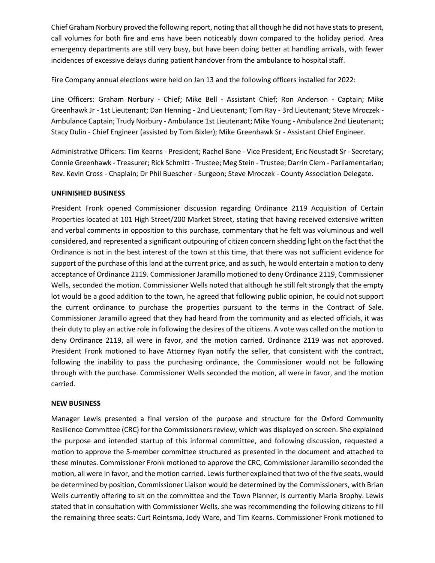Chief Graham Norbury proved the following report, noting that all though he did not have stats to present, call volumes for both fire and ems have been noticeably down compared to the holiday period. Area emergency departments are still very busy, but have been doing better at handling arrivals, with fewer incidences of excessive delays during patient handover from the ambulance to hospital staff.

Fire Company annual elections were held on Jan 13 and the following officers installed for 2022:

Line Officers: Graham Norbury - Chief; Mike Bell - Assistant Chief; Ron Anderson - Captain; Mike Greenhawk Jr - 1st Lieutenant; Dan Henning - 2nd Lieutenant; Tom Ray - 3rd Lieutenant; Steve Mroczek - Ambulance Captain; Trudy Norbury - Ambulance 1st Lieutenant; Mike Young - Ambulance 2nd Lieutenant; Stacy Dulin - Chief Engineer (assisted by Tom Bixler); Mike Greenhawk Sr - Assistant Chief Engineer.

Administrative Officers: Tim Kearns - President; Rachel Bane - Vice President; Eric Neustadt Sr - Secretary; Connie Greenhawk - Treasurer; Rick Schmitt - Trustee; Meg Stein - Trustee; Darrin Clem - Parliamentarian; Rev. Kevin Cross - Chaplain; Dr Phil Buescher - Surgeon; Steve Mroczek - County Association Delegate.

## **UNFINISHED BUSINESS**

President Fronk opened Commissioner discussion regarding Ordinance 2119 Acquisition of Certain Properties located at 101 High Street/200 Market Street, stating that having received extensive written and verbal comments in opposition to this purchase, commentary that he felt was voluminous and well considered, and represented a significant outpouring of citizen concern shedding light on the fact that the Ordinance is not in the best interest of the town at this time, that there was not sufficient evidence for support of the purchase of this land at the current price, and as such, he would entertain a motion to deny acceptance of Ordinance 2119. Commissioner Jaramillo motioned to deny Ordinance 2119, Commissioner Wells, seconded the motion. Commissioner Wells noted that although he still felt strongly that the empty lot would be a good addition to the town, he agreed that following public opinion, he could not support the current ordinance to purchase the properties pursuant to the terms in the Contract of Sale. Commissioner Jaramillo agreed that they had heard from the community and as elected officials, it was their duty to play an active role in following the desires of the citizens. A vote was called on the motion to deny Ordinance 2119, all were in favor, and the motion carried. Ordinance 2119 was not approved. President Fronk motioned to have Attorney Ryan notify the seller, that consistent with the contract, following the inability to pass the purchasing ordinance, the Commissioner would not be following through with the purchase. Commissioner Wells seconded the motion, all were in favor, and the motion carried.

#### **NEW BUSINESS**

Manager Lewis presented a final version of the purpose and structure for the Oxford Community Resilience Committee (CRC) for the Commissioners review, which was displayed on screen. She explained the purpose and intended startup of this informal committee, and following discussion, requested a motion to approve the 5-member committee structured as presented in the document and attached to these minutes. Commissioner Fronk motioned to approve the CRC, Commissioner Jaramillo seconded the motion, all were in favor, and the motion carried. Lewis further explained that two of the five seats, would be determined by position, Commissioner Liaison would be determined by the Commissioners, with Brian Wells currently offering to sit on the committee and the Town Planner, is currently Maria Brophy. Lewis stated that in consultation with Commissioner Wells, she was recommending the following citizens to fill the remaining three seats: Curt Reintsma, Jody Ware, and Tim Kearns. Commissioner Fronk motioned to